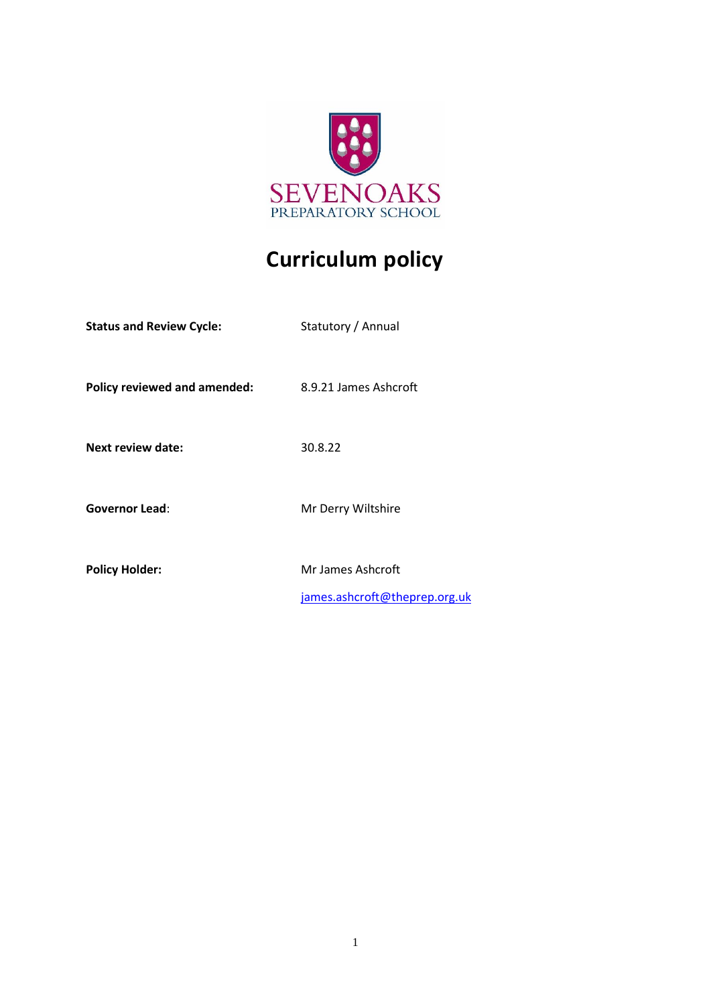

# **Curriculum policy**

| <b>Status and Review Cycle:</b>     | Statutory / Annual                                 |
|-------------------------------------|----------------------------------------------------|
| <b>Policy reviewed and amended:</b> | 8.9.21 James Ashcroft                              |
| <b>Next review date:</b>            | 30.8.22                                            |
| <b>Governor Lead:</b>               | Mr Derry Wiltshire                                 |
| <b>Policy Holder:</b>               | Mr James Ashcroft<br>james.ashcroft@theprep.org.uk |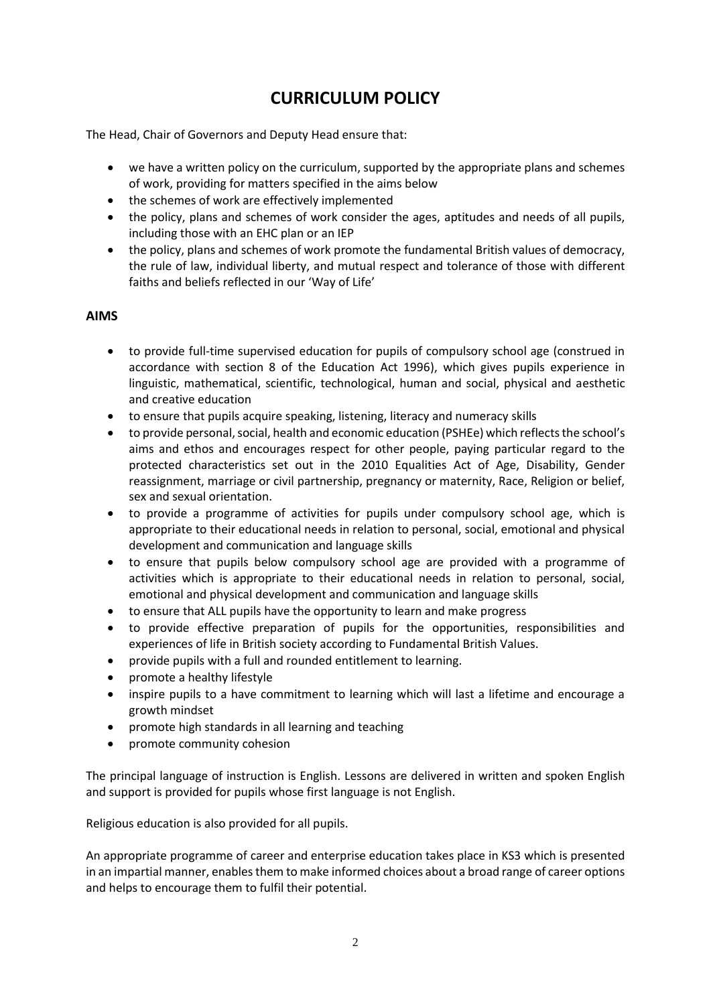# **CURRICULUM POLICY**

The Head, Chair of Governors and Deputy Head ensure that:

- we have a written policy on the curriculum, supported by the appropriate plans and schemes of work, providing for matters specified in the aims below
- the schemes of work are effectively implemented
- the policy, plans and schemes of work consider the ages, aptitudes and needs of all pupils, including those with an EHC plan or an IEP
- the policy, plans and schemes of work promote the fundamental British values of democracy, the rule of law, individual liberty, and mutual respect and tolerance of those with different faiths and beliefs reflected in our 'Way of Life'

#### **AIMS**

- to provide full-time supervised education for pupils of compulsory school age (construed in accordance with section 8 of the Education Act 1996), which gives pupils experience in linguistic, mathematical, scientific, technological, human and social, physical and aesthetic and creative education
- to ensure that pupils acquire speaking, listening, literacy and numeracy skills
- to provide personal, social, health and economic education (PSHEe) which reflects the school's aims and ethos and encourages respect for other people, paying particular regard to the protected characteristics set out in the 2010 Equalities Act of Age, Disability, Gender reassignment, marriage or civil partnership, pregnancy or maternity, Race, Religion or belief, sex and sexual orientation.
- to provide a programme of activities for pupils under compulsory school age, which is appropriate to their educational needs in relation to personal, social, emotional and physical development and communication and language skills
- to ensure that pupils below compulsory school age are provided with a programme of activities which is appropriate to their educational needs in relation to personal, social, emotional and physical development and communication and language skills
- to ensure that ALL pupils have the opportunity to learn and make progress
- to provide effective preparation of pupils for the opportunities, responsibilities and experiences of life in British society according to Fundamental British Values.
- provide pupils with a full and rounded entitlement to learning.
- promote a healthy lifestyle
- inspire pupils to a have commitment to learning which will last a lifetime and encourage a growth mindset
- promote high standards in all learning and teaching
- promote community cohesion

The principal language of instruction is English. Lessons are delivered in written and spoken English and support is provided for pupils whose first language is not English.

Religious education is also provided for all pupils.

An appropriate programme of career and enterprise education takes place in KS3 which is presented in an impartial manner, enables them to make informed choices about a broad range of career options and helps to encourage them to fulfil their potential.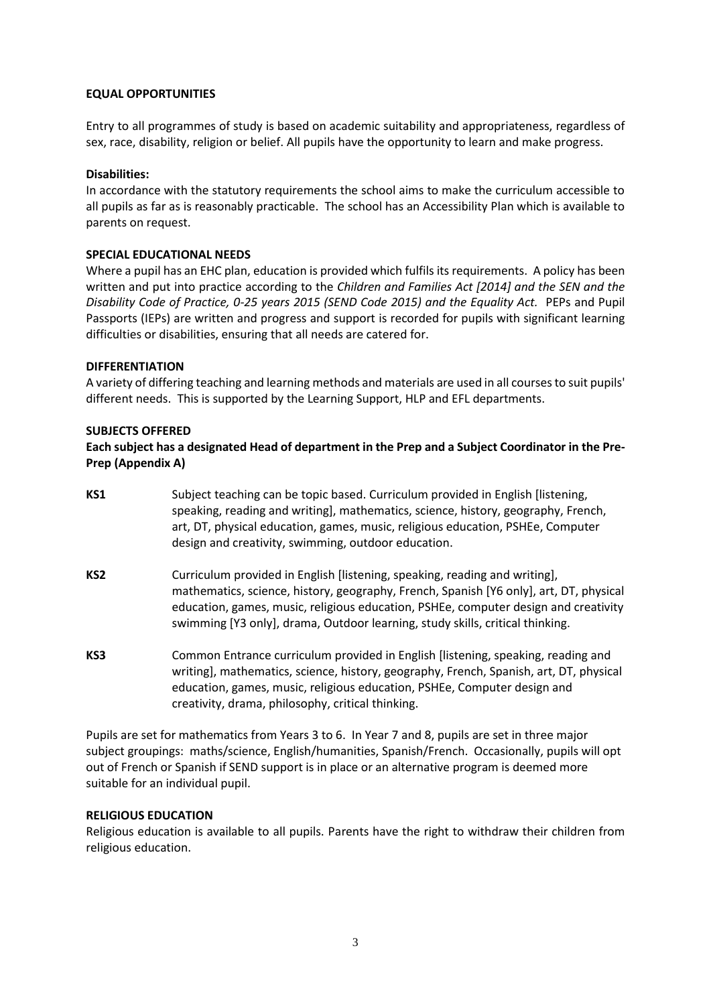#### **EQUAL OPPORTUNITIES**

Entry to all programmes of study is based on academic suitability and appropriateness, regardless of sex, race, disability, religion or belief. All pupils have the opportunity to learn and make progress.

#### **Disabilities:**

In accordance with the statutory requirements the school aims to make the curriculum accessible to all pupils as far as is reasonably practicable. The school has an Accessibility Plan which is available to parents on request.

#### **SPECIAL EDUCATIONAL NEEDS**

Where a pupil has an EHC plan, education is provided which fulfils its requirements. A policy has been written and put into practice according to the *Children and Families Act [2014] and the SEN and the Disability Code of Practice, 0-25 years 2015 (SEND Code 2015) and the Equality Act.* PEPs and Pupil Passports (IEPs) are written and progress and support is recorded for pupils with significant learning difficulties or disabilities, ensuring that all needs are catered for.

#### **DIFFERENTIATION**

A variety of differing teaching and learning methods and materials are used in all courses to suit pupils' different needs. This is supported by the Learning Support, HLP and EFL departments.

#### **SUBJECTS OFFERED**

#### **Each subject has a designated Head of department in the Prep and a Subject Coordinator in the Pre-Prep (Appendix A)**

- **KS1** Subject teaching can be topic based. Curriculum provided in English [listening, speaking, reading and writing], mathematics, science, history, geography, French, art, DT, physical education, games, music, religious education, PSHEe, Computer design and creativity, swimming, outdoor education.
- **KS2** Curriculum provided in English [listening, speaking, reading and writing], mathematics, science, history, geography, French, Spanish [Y6 only], art, DT, physical education, games, music, religious education, PSHEe, computer design and creativity swimming [Y3 only], drama, Outdoor learning, study skills, critical thinking.
- **KS3** Common Entrance curriculum provided in English [listening, speaking, reading and writing], mathematics, science, history, geography, French, Spanish, art, DT, physical education, games, music, religious education, PSHEe, Computer design and creativity, drama, philosophy, critical thinking.

Pupils are set for mathematics from Years 3 to 6. In Year 7 and 8, pupils are set in three major subject groupings: maths/science, English/humanities, Spanish/French. Occasionally, pupils will opt out of French or Spanish if SEND support is in place or an alternative program is deemed more suitable for an individual pupil.

#### **RELIGIOUS EDUCATION**

Religious education is available to all pupils. Parents have the right to withdraw their children from religious education.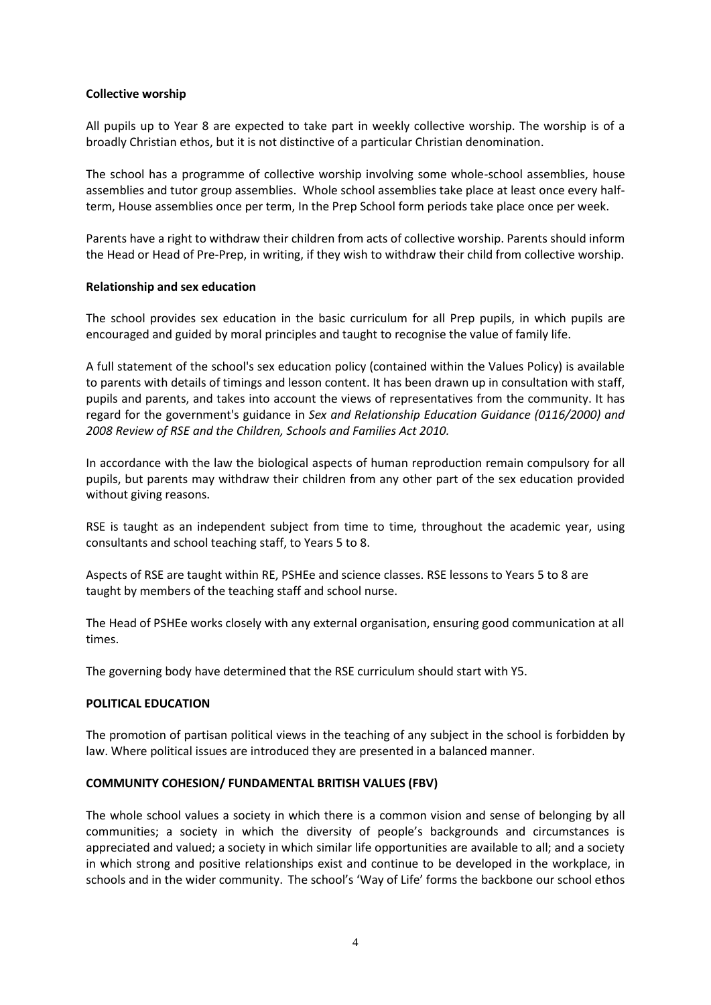#### **Collective worship**

All pupils up to Year 8 are expected to take part in weekly collective worship. The worship is of a broadly Christian ethos, but it is not distinctive of a particular Christian denomination.

The school has a programme of collective worship involving some whole-school assemblies, house assemblies and tutor group assemblies. Whole school assemblies take place at least once every halfterm, House assemblies once per term, In the Prep School form periods take place once per week.

Parents have a right to withdraw their children from acts of collective worship. Parents should inform the Head or Head of Pre-Prep, in writing, if they wish to withdraw their child from collective worship.

#### **Relationship and sex education**

The school provides sex education in the basic curriculum for all Prep pupils, in which pupils are encouraged and guided by moral principles and taught to recognise the value of family life.

A full statement of the school's sex education policy (contained within the Values Policy) is available to parents with details of timings and lesson content. It has been drawn up in consultation with staff, pupils and parents, and takes into account the views of representatives from the community. It has regard for the government's guidance in *Sex and Relationship Education Guidance (0116/2000) and 2008 Review of RSE and the Children, Schools and Families Act 2010.*

In accordance with the law the biological aspects of human reproduction remain compulsory for all pupils, but parents may withdraw their children from any other part of the sex education provided without giving reasons.

RSE is taught as an independent subject from time to time, throughout the academic year, using consultants and school teaching staff, to Years 5 to 8.

Aspects of RSE are taught within RE, PSHEe and science classes. RSE lessons to Years 5 to 8 are taught by members of the teaching staff and school nurse.

The Head of PSHEe works closely with any external organisation, ensuring good communication at all times.

The governing body have determined that the RSE curriculum should start with Y5.

#### **POLITICAL EDUCATION**

The promotion of partisan political views in the teaching of any subject in the school is forbidden by law. Where political issues are introduced they are presented in a balanced manner.

#### **COMMUNITY COHESION/ FUNDAMENTAL BRITISH VALUES (FBV)**

The whole school values a society in which there is a common vision and sense of belonging by all communities; a society in which the diversity of people's backgrounds and circumstances is appreciated and valued; a society in which similar life opportunities are available to all; and a society in which strong and positive relationships exist and continue to be developed in the workplace, in schools and in the wider community. The school's 'Way of Life' forms the backbone our school ethos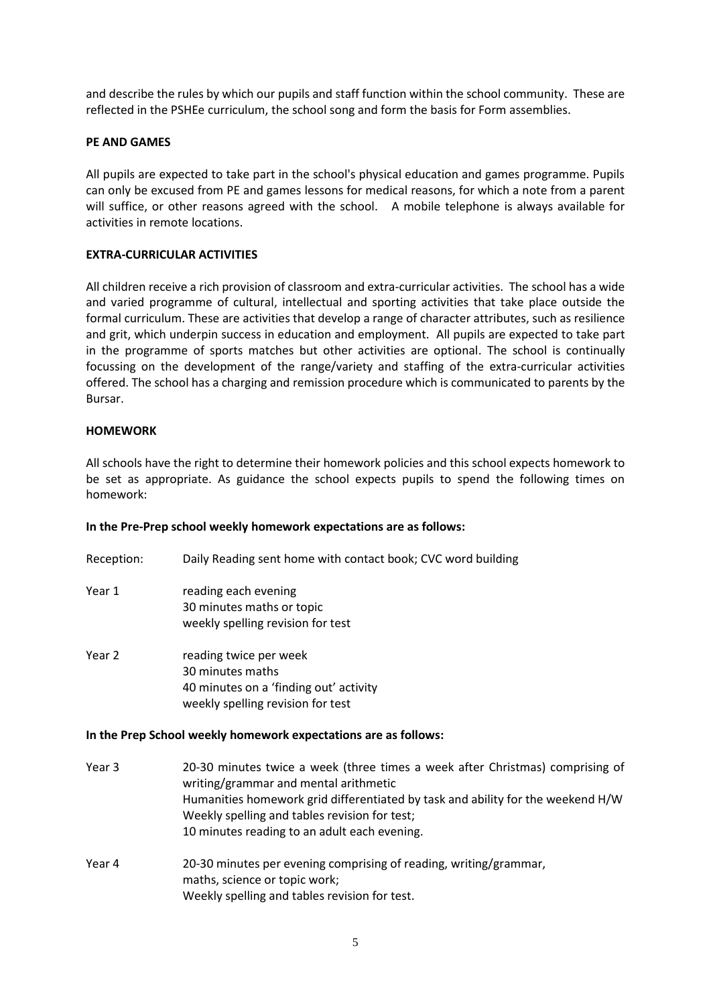and describe the rules by which our pupils and staff function within the school community. These are reflected in the PSHEe curriculum, the school song and form the basis for Form assemblies.

#### **PE AND GAMES**

All pupils are expected to take part in the school's physical education and games programme. Pupils can only be excused from PE and games lessons for medical reasons, for which a note from a parent will suffice, or other reasons agreed with the school. A mobile telephone is always available for activities in remote locations.

#### **EXTRA-CURRICULAR ACTIVITIES**

All children receive a rich provision of classroom and extra-curricular activities. The school has a wide and varied programme of cultural, intellectual and sporting activities that take place outside the formal curriculum. These are activities that develop a range of character attributes, such as resilience and grit, which underpin success in education and employment. All pupils are expected to take part in the programme of sports matches but other activities are optional. The school is continually focussing on the development of the range/variety and staffing of the extra-curricular activities offered. The school has a charging and remission procedure which is communicated to parents by the Bursar.

#### **HOMEWORK**

All schools have the right to determine their homework policies and this school expects homework to be set as appropriate. As guidance the school expects pupils to spend the following times on homework:

#### **In the Pre-Prep school weekly homework expectations are as follows:**

- Reception: Daily Reading sent home with contact book; CVC word building
- Year 1 reading each evening 30 minutes maths or topic weekly spelling revision for test
- Year 2 reading twice per week 30 minutes maths 40 minutes on a 'finding out' activity weekly spelling revision for test

#### **In the Prep School weekly homework expectations are as follows:**

- Year 3 20-30 minutes twice a week (three times a week after Christmas) comprising of writing/grammar and mental arithmetic Humanities homework grid differentiated by task and ability for the weekend H/W Weekly spelling and tables revision for test; 10 minutes reading to an adult each evening. Year 4 20-30 minutes per evening comprising of reading, writing/grammar,
- maths, science or topic work; Weekly spelling and tables revision for test.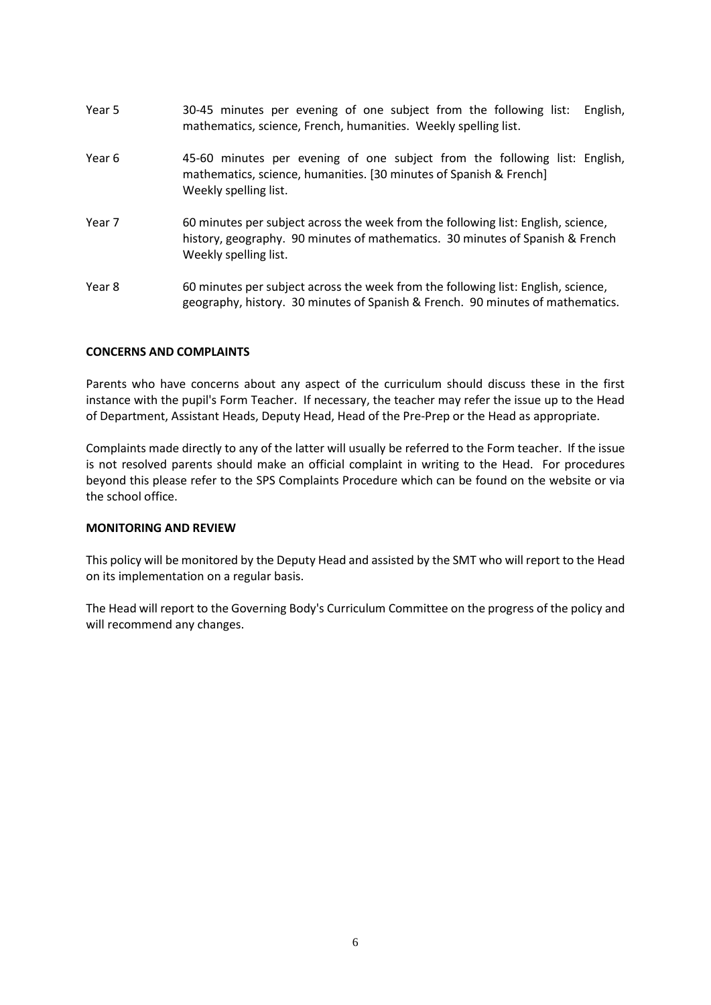| Year 5 | 30-45 minutes per evening of one subject from the following list:<br>English,<br>mathematics, science, French, humanities. Weekly spelling list.                                            |
|--------|---------------------------------------------------------------------------------------------------------------------------------------------------------------------------------------------|
| Year 6 | 45-60 minutes per evening of one subject from the following list: English,<br>mathematics, science, humanities. [30 minutes of Spanish & French]<br>Weekly spelling list.                   |
| Year 7 | 60 minutes per subject across the week from the following list: English, science,<br>history, geography. 90 minutes of mathematics. 30 minutes of Spanish & French<br>Weekly spelling list. |
| Year 8 | 60 minutes per subject across the week from the following list: English, science,<br>geography, history. 30 minutes of Spanish & French. 90 minutes of mathematics.                         |

#### **CONCERNS AND COMPLAINTS**

Parents who have concerns about any aspect of the curriculum should discuss these in the first instance with the pupil's Form Teacher. If necessary, the teacher may refer the issue up to the Head of Department, Assistant Heads, Deputy Head, Head of the Pre-Prep or the Head as appropriate.

Complaints made directly to any of the latter will usually be referred to the Form teacher. If the issue is not resolved parents should make an official complaint in writing to the Head. For procedures beyond this please refer to the SPS Complaints Procedure which can be found on the website or via the school office.

#### **MONITORING AND REVIEW**

This policy will be monitored by the Deputy Head and assisted by the SMT who will report to the Head on its implementation on a regular basis.

The Head will report to the Governing Body's Curriculum Committee on the progress of the policy and will recommend any changes.